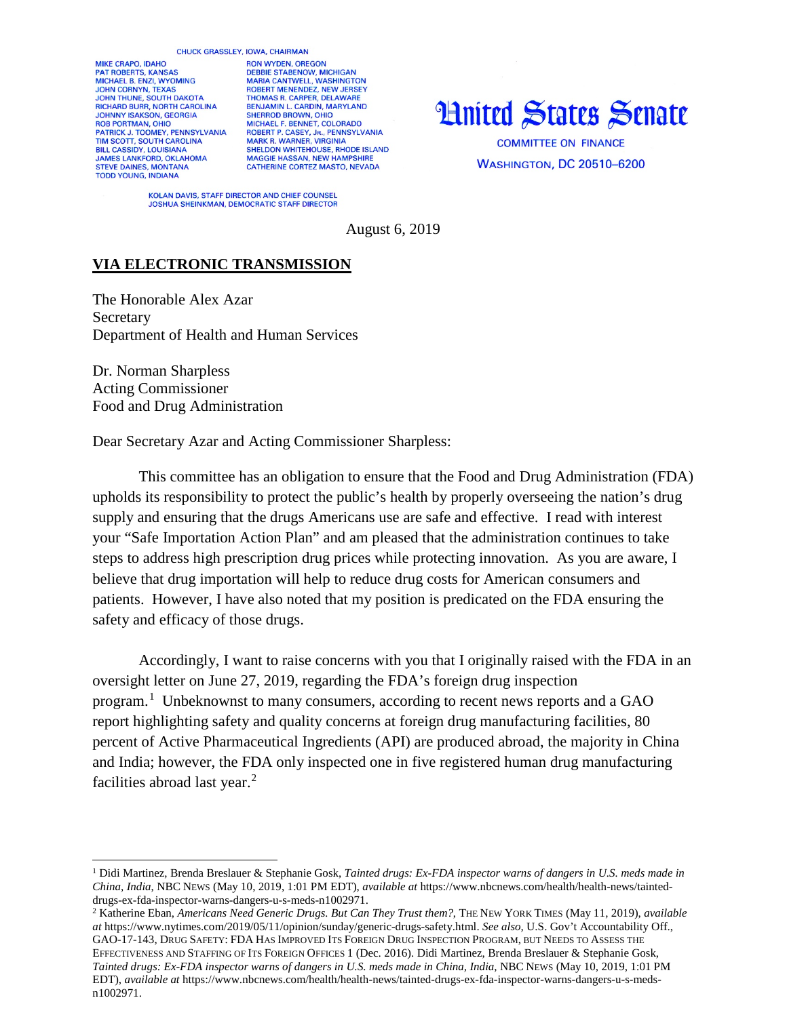## CHUCK GRASSLEY, IOWA, CHAIRMAN

MIKE CRAPO, IDAHO PAT ROBERTS, KANSAS MICHAEL B. ENZI, WYOMING **JOHN CORNYN, TEXAS** JOHN THUNE, SOUTH DAKOTA<br>RICHARD BURR, NORTH CAROLINA JOHNNY ISAKSON, GEORGIA<br>ROB PORTMAN, OHIO PATRICK J. TOOMEY, PENNSYLVANIA TIM SCOTT, SOUTH CAROLINA **BILL CASSIDY, LOUISIANA JAMES LANKFORD, OKLAHOMA STEVE DAINES, MONTANA TODD YOUNG, INDIANA** 

**RON WYDEN, OREGON** DEBBIE STABENOW, MICHIGAN MARIA CANTWELL, WASHINGTON<br>ROBERT MENENDEZ, NEW JERSEY THOMAS R. CARPER, DELAWARE<br>BENJAMIN L. CARDIN, MARYLAND SHERROD BROWN, OHIO<br>MICHAEL F. BENNET, COLORADO ROBERT P. CASEY, JR., PENNSYLVANIA<br>MARK R. WARNER, VIRGINIA SHELDON WHITEHOUSE, RHODE ISLAND MAGGIE HASSAN, NEW HAMPSHIRE<br>CATHERINE CORTEZ MASTO, NEVADA

## **Hnited States Senate**

**COMMITTEE ON FINANCE WASHINGTON, DC 20510-6200** 

KOLAN DAVIS, STAFF DIRECTOR AND CHIEF COUNSEL JOSHUA SHEINKMAN, DEMOCRATIC STAFF DIRECTOR

August 6, 2019

## **VIA ELECTRONIC TRANSMISSION**

The Honorable Alex Azar Secretary Department of Health and Human Services

Dr. Norman Sharpless Acting Commissioner Food and Drug Administration

 $\overline{a}$ 

Dear Secretary Azar and Acting Commissioner Sharpless:

This committee has an obligation to ensure that the Food and Drug Administration (FDA) upholds its responsibility to protect the public's health by properly overseeing the nation's drug supply and ensuring that the drugs Americans use are safe and effective. I read with interest your "Safe Importation Action Plan" and am pleased that the administration continues to take steps to address high prescription drug prices while protecting innovation. As you are aware, I believe that drug importation will help to reduce drug costs for American consumers and patients. However, I have also noted that my position is predicated on the FDA ensuring the safety and efficacy of those drugs.

Accordingly, I want to raise concerns with you that I originally raised with the FDA in an oversight letter on June 27, 2019, regarding the FDA's foreign drug inspection program.[1](#page-0-0) Unbeknownst to many consumers, according to recent news reports and a GAO report highlighting safety and quality concerns at foreign drug manufacturing facilities, 80 percent of Active Pharmaceutical Ingredients (API) are produced abroad, the majority in China and India; however, the FDA only inspected one in five registered human drug manufacturing facilities abroad last year.<sup>[2](#page-0-1)</sup>

<span id="page-0-0"></span><sup>1</sup> Didi Martinez, Brenda Breslauer & Stephanie Gosk, *Tainted drugs: Ex-FDA inspector warns of dangers in U.S. meds made in China, India*, NBC NEWS (May 10, 2019, 1:01 PM EDT), *available at* [https://www.nbcnews.com/health/health-news/tainted](https://www.nbcnews.com/health/health-news/tainted-drugs-ex-fda-inspector-warns-dangers-u-s-meds-n1002971)[drugs-ex-fda-inspector-warns-dangers-u-s-meds-n1002971.](https://www.nbcnews.com/health/health-news/tainted-drugs-ex-fda-inspector-warns-dangers-u-s-meds-n1002971)

<span id="page-0-1"></span><sup>2</sup> Katherine Eban, *Americans Need Generic Drugs. But Can They Trust them?*, THE NEW YORK TIMES (May 11, 2019), *available at* [https://www.nytimes.com/2019/05/11/opinion/sunday/generic-drugs-safety.html.](https://www.nytimes.com/2019/05/11/opinion/sunday/generic-drugs-safety.html) *See also,* U.S. Gov't Accountability Off., GAO-17-143, DRUG SAFETY: FDA HAS IMPROVED ITS FOREIGN DRUG INSPECTION PROGRAM, BUT NEEDS TO ASSESS THE EFFECTIVENESS AND STAFFING OF ITS FOREIGN OFFICES 1 (Dec. 2016). Didi Martinez, Brenda Breslauer & Stephanie Gosk, *Tainted drugs: Ex-FDA inspector warns of dangers in U.S. meds made in China, India*, NBC NEWS (May 10, 2019, 1:01 PM EDT), *available at* [https://www.nbcnews.com/health/health-news/tainted-drugs-ex-fda-inspector-warns-dangers-u-s-meds](https://www.nbcnews.com/health/health-news/tainted-drugs-ex-fda-inspector-warns-dangers-u-s-meds-n1002971)[n1002971.](https://www.nbcnews.com/health/health-news/tainted-drugs-ex-fda-inspector-warns-dangers-u-s-meds-n1002971)